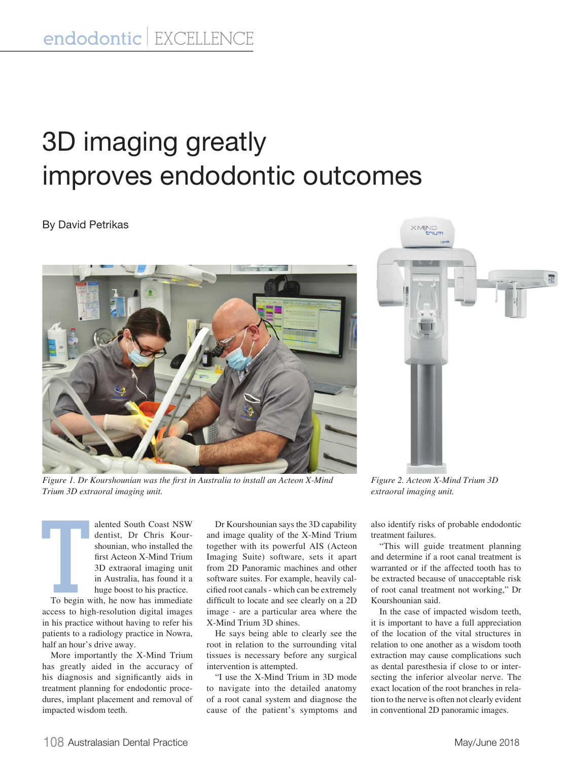## 3D imaging greatly improves endodontic outcomes

## By David Petrikas



*Figure 1. Dr Kourshounian was the first in Australia to install an Acteon X-Mind Trium 3D extraoral imaging unit.*



*Figure 2. Acteon X-Mind Trium 3D extraoral imaging unit.*

**T**<br>To begin w alented South Coast NSW dentist, Dr Chris Kourshounian, who installed the first Acteon X-Mind Trium 3D extraoral imaging unit in Australia, has found it a huge boost to his practice.

To begin with, he now has immediate access to high-resolution digital images in his practice without having to refer his patients to a radiology practice in Nowra, half an hour's drive away.

More importantly the X-Mind Trium has greatly aided in the accuracy of his diagnosis and significantly aids in treatment planning for endodontic procedures, implant placement and removal of impacted wisdom teeth.

Dr Kourshounian says the 3D capability and image quality of the X-Mind Trium together with its powerful AIS (Acteon Imaging Suite) software, sets it apart from 2D Panoramic machines and other software suites. For example, heavily calcified root canals - which can be extremely difficult to locate and see clearly on a 2D image - are a particular area where the X-Mind Trium 3D shines.

He says being able to clearly see the root in relation to the surrounding vital tissues is necessary before any surgical intervention is attempted.

"I use the X-Mind Trium in 3D mode to navigate into the detailed anatomy of a root canal system and diagnose the cause of the patient's symptoms and

also identify risks of probable endodontic treatment failures.

"This will guide treatment planning and determine if a root canal treatment is warranted or if the affected tooth has to be extracted because of unacceptable risk of root canal treatment not working," Dr Kourshounian said.

In the case of impacted wisdom teeth, it is important to have a full appreciation of the location of the vital structures in relation to one another as a wisdom tooth extraction may cause complications such as dental paresthesia if close to or intersecting the inferior alveolar nerve. The exact location of the root branches in relation to the nerve is often not clearly evident in conventional 2D panoramic images.